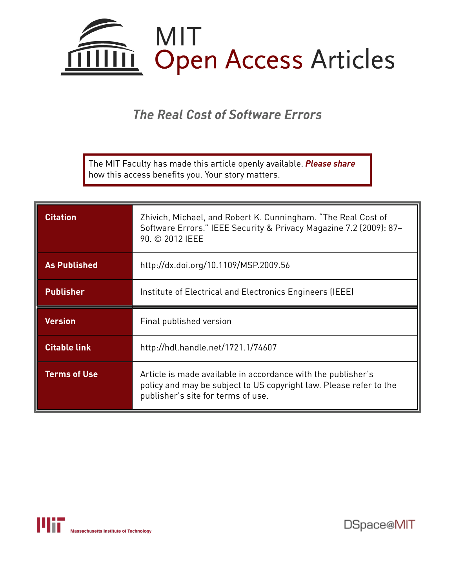

*The Real Cost of Software Errors*

The MIT Faculty has made this article openly available. *[Please](https://libraries.mit.edu/forms/dspace-oa-articles.html) share* how this access benefits you. Your story matters.

| <b>Citation</b>     | Zhivich, Michael, and Robert K. Cunningham. "The Real Cost of<br>Software Errors." IEEE Security & Privacy Magazine 7.2 (2009): 87-<br>90. © 2012 IEEE |
|---------------------|--------------------------------------------------------------------------------------------------------------------------------------------------------|
| <b>As Published</b> | http://dx.doi.org/10.1109/MSP.2009.56                                                                                                                  |
| <b>Publisher</b>    | Institute of Electrical and Electronics Engineers (IEEE)                                                                                               |
|                     |                                                                                                                                                        |
| <b>Version</b>      | Final published version                                                                                                                                |
| <b>Citable link</b> | http://hdl.handle.net/1721.1/74607                                                                                                                     |



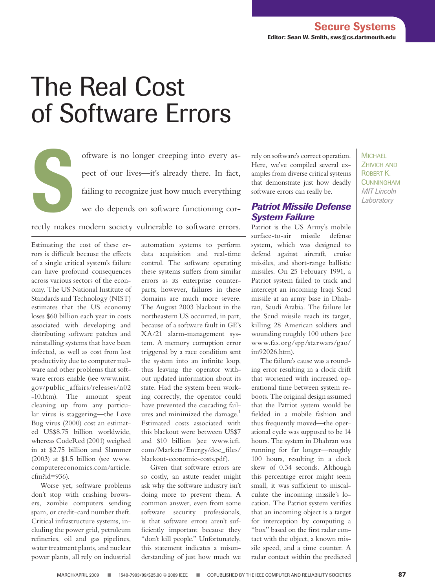# The Real Cost of Software Errors

oftware is no longer creeping into every as-<br>pect of our lives—it's already there. In fact,<br>failing to recognize just how much everything<br>we do depends on software functioning corpect of our lives—it's already there. In fact, failing to recognize just how much everything we do depends on software functioning cor-

rectly makes modern society vulnerable to software errors.

Estimating the cost of these errors is difficult because the effects of a single critical system's failure can have profound consequences across various sectors of the economy. The US National Institute of Standards and Technology (NIST) estimates that the US economy loses \$60 billion each year in costs associated with developing and distributing software patches and reinstalling systems that have been infected, as well as cost from lost productivity due to computer malware and other problems that software errors enable (see www.nist. gov/public\_affairs/releases/n02 -10.htm). The amount spent cleaning up from any particular virus is staggering—the Love Bug virus (2000) cost an estimated US\$8.75 billion worldwide, whereas CodeRed (2001) weighed in at \$2.75 billion and Slammer (2003) at \$1.5 billion (see www. computereconomics.com/article. cfm?id=936).

Worse yet, software problems don't stop with crashing browsers, zombie computers sending spam, or credit-card number theft. Critical infrastructure systems, including the power grid, petroleum refineries, oil and gas pipelines, water treatment plants, and nuclear power plants, all rely on industrial automation systems to perform data acquisition and real-time control. The software operating these systems suffers from similar errors as its enterprise counterparts; however, failures in these domains are much more severe. The August 2003 blackout in the northeastern US occurred, in part, because of a software fault in GE's XA/21 alarm-management system. A memory corruption error triggered by a race condition sent the system into an infinite loop, thus leaving the operator without updated information about its state. Had the system been working correctly, the operator could have prevented the cascading failures and minimized the damage.<sup>1</sup> Estimated costs associated with this blackout were between US\$7 and \$10 billion (see www.icfi. com/Markets/Energy/doc\_files/ blackout-economic-costs.pdf).

Given that software errors are so costly, an astute reader might ask why the software industry isn't doing more to prevent them. A common answer, even from some software security professionals, is that software errors aren't sufficiently important because they "don't kill people." Unfortunately, this statement indicates a misunderstanding of just how much we

rely on software's correct operation. Here, we've compiled several examples from diverse critical systems that demonstrate just how deadly software errors can really be.

### *Patriot Missile Defense System Failure*

Patriot is the US Army's mobile surface-to-air missile defense system, which was designed to defend against aircraft, cruise missiles, and short-range ballistic missiles. On 25 February 1991, a Patriot system failed to track and intercept an incoming Iraqi Scud missile at an army base in Dhahran, Saudi Arabia. The failure let the Scud missile reach its target, killing 28 American soldiers and wounding roughly 100 others (see www.fas.org/spp/starwars/gao/ im92026.htm).

The failure's cause was a rounding error resulting in a clock drift that worsened with increased operational time between system reboots. The original design assumed that the Patriot system would be fielded in a mobile fashion and thus frequently moved—the operational cycle was supposed to be 14 hours. The system in Dhahran was running for far longer—roughly 100 hours, resulting in a clock skew of 0.34 seconds. Although this percentage error might seem small, it was sufficient to miscalculate the incoming missile's location. The Patriot system verifies that an incoming object is a target for interception by computing a "box" based on the first radar contact with the object, a known missile speed, and a time counter. A radar contact within the predicted **MICHAEL** ZHIVICH AND Robert K. **CUNNINGHAM** *MIT Lincoln Laboratory*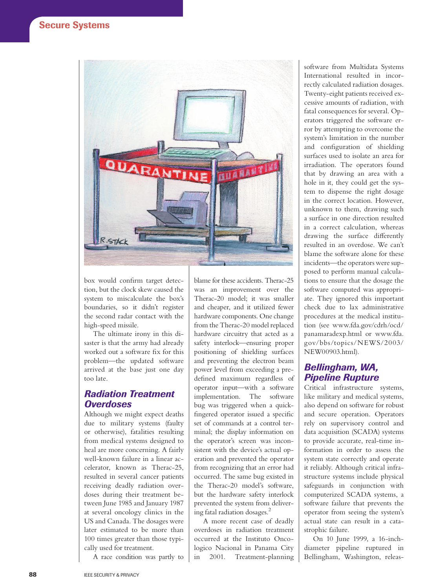

box would confirm target detection, but the clock skew caused the system to miscalculate the box's boundaries, so it didn't register the second radar contact with the high-speed missile.

The ultimate irony in this disaster is that the army had already worked out a software fix for this problem—the updated software arrived at the base just one day too late.

#### *Radiation Treatment Overdoses*

Although we might expect deaths due to military systems (faulty or otherwise), fatalities resulting from medical systems designed to heal are more concerning. A fairly well-known failure in a linear accelerator, known as Therac-25, resulted in several cancer patients receiving deadly radiation overdoses during their treatment between June 1985 and January 1987 at several oncology clinics in the US and Canada. The dosages were later estimated to be more than 100 times greater than those typically used for treatment.

A race condition was partly to

blame for these accidents. Therac-25 was an improvement over the Therac-20 model; it was smaller and cheaper, and it utilized fewer hardware components. One change from the Therac-20 model replaced hardware circuitry that acted as a safety interlock—ensuring proper positioning of shielding surfaces and preventing the electron beam power level from exceeding a predefined maximum regardless of operator input—with a software implementation. The software bug was triggered when a quickfingered operator issued a specific set of commands at a control terminal; the display information on the operator's screen was inconsistent with the device's actual operation and prevented the operator from recognizing that an error had occurred. The same bug existed in the Therac-20 model's software, but the hardware safety interlock prevented the system from delivering fatal radiation dosages.<sup>2</sup>

A more recent case of deadly overdoses in radiation treatment occurred at the Instituto Oncologico Nacional in Panama City in 2001. Treatment-planning

software from Multidata Systems International resulted in incorrectly calculated radiation dosages. Twenty-eight patients received excessive amounts of radiation, with fatal consequences for several. Operators triggered the software error by attempting to overcome the system's limitation in the number and configuration of shielding surfaces used to isolate an area for irradiation. The operators found that by drawing an area with a hole in it, they could get the system to dispense the right dosage in the correct location. However, unknown to them, drawing such a surface in one direction resulted in a correct calculation, whereas drawing the surface differently resulted in an overdose. We can't blame the software alone for these incidents—the operators were supposed to perform manual calculations to ensure that the dosage the software computed was appropriate. They ignored this important check due to lax administrative procedures at the medical institution (see www.fda.gov/cdrh/ocd/ panamaradexp.html or www.fda. gov/bbs/topics/NEWS/2003/ NEW00903.html).

#### *Bellingham, WA, Pipeline Rupture*

Critical infrastructure systems, like military and medical systems, also depend on software for robust and secure operation. Operators rely on supervisory control and data acquisition (SCADA) systems to provide accurate, real-time information in order to assess the system state correctly and operate it reliably. Although critical infrastructure systems include physical safeguards in conjunction with computerized SCADA systems, a software failure that prevents the operator from seeing the system's actual state can result in a catastrophic failure.

On 10 June 1999, a 16-inchdiameter pipeline ruptured in Bellingham, Washington, releas-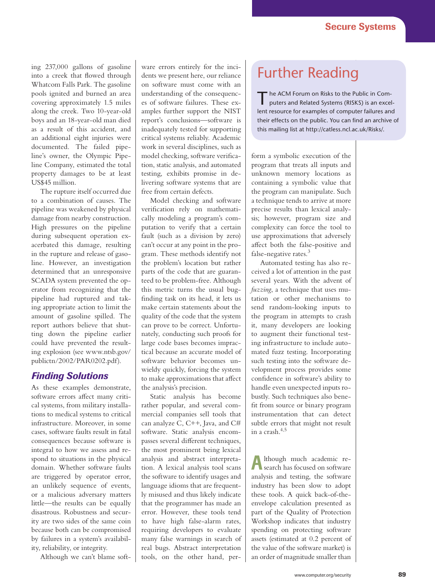ing 237,000 gallons of gasoline into a creek that flowed through Whatcom Falls Park. The gasoline pools ignited and burned an area covering approximately 1.5 miles along the creek. Two 10-year-old boys and an 18-year-old man died as a result of this accident, and an additional eight injuries were documented. The failed pipeline's owner, the Olympic Pipeline Company, estimated the total property damages to be at least US\$45 million.

The rupture itself occurred due to a combination of causes. The pipeline was weakened by physical damage from nearby construction. High pressures on the pipeline during subsequent operation exacerbated this damage, resulting in the rupture and release of gasoline. However, an investigation determined that an unresponsive SCADA system prevented the operator from recognizing that the pipeline had ruptured and taking appropriate action to limit the amount of gasoline spilled. The report authors believe that shutting down the pipeline earlier could have prevented the resulting explosion (see www.ntsb.gov/ publictn/2002/PAR0202.pdf).

#### *Finding Solutions*

As these examples demonstrate, software errors affect many critical systems, from military installations to medical systems to critical infrastructure. Moreover, in some cases, software faults result in fatal consequences because software is integral to how we assess and respond to situations in the physical domain. Whether software faults are triggered by operator error, an unlikely sequence of events, or a malicious adversary matters little—the results can be equally disastrous. Robustness and security are two sides of the same coin because both can be compromised by failures in a system's availability, reliability, or integrity.

Although we can't blame soft-

ware errors entirely for the incidents we present here, our reliance on software must come with an understanding of the consequences of software failures. These examples further support the NIST report's conclusions—software is inadequately tested for supporting critical systems reliably. Academic work in several disciplines, such as model checking, software verification, static analysis, and automated testing, exhibits promise in delivering software systems that are free from certain defects.

Model checking and software verification rely on mathematically modeling a program's computation to verify that a certain fault (such as a division by zero) can't occur at any point in the program. These methods identify not the problem's location but rather parts of the code that are guaranteed to be problem-free. Although this metric turns the usual bugfinding task on its head, it lets us make certain statements about the quality of the code that the system can prove to be correct. Unfortunately, conducting such proofs for large code bases becomes impractical because an accurate model of software behavior becomes unwieldy quickly, forcing the system to make approximations that affect the analysis's precision.

Static analysis has become rather popular, and several commercial companies sell tools that can analyze C, C++, Java, and C# software. Static analysis encompasses several different techniques, the most prominent being lexical analysis and abstract interpretation. A lexical analysis tool scans the software to identify usages and language idioms that are frequently misused and thus likely indicate that the programmer has made an error. However, these tools tend to have high false-alarm rates, requiring developers to evaluate many false warnings in search of real bugs. Abstract interpretation tools, on the other hand, per-

## Further Reading

The ACM Forum on Risks to the Public in Computers and Related Systems (RISKS) is an excellent resource for examples of computer failures and their effects on the public. You can find an archive of this mailing list at http://catless.ncl.ac.uk/Risks/.

form a symbolic execution of the program that treats all inputs and unknown memory locations as containing a symbolic value that the program can manipulate. Such a technique tends to arrive at more precise results than lexical analysis; however, program size and complexity can force the tool to use approximations that adversely affect both the false-positive and false-negative rates.<sup>3</sup>

Automated testing has also received a lot of attention in the past several years. With the advent of *fuzzing*, a technique that uses mutation or other mechanisms to send random-looking inputs to the program in attempts to crash it, many developers are looking to augment their functional testing infrastructure to include automated fuzz testing. Incorporating such testing into the software development process provides some confidence in software's ability to handle even unexpected inputs robustly. Such techniques also benefit from source or binary program instrumentation that can detect subtle errors that might not result in a crash.4,5

Although much academic re-search has focused on software analysis and testing, the software industry has been slow to adopt these tools. A quick back-of-theenvelope calculation presented as part of the Quality of Protection Workshop indicates that industry spending on protecting software assets (estimated at 0.2 percent of the value of the software market) is an order of magnitude smaller than